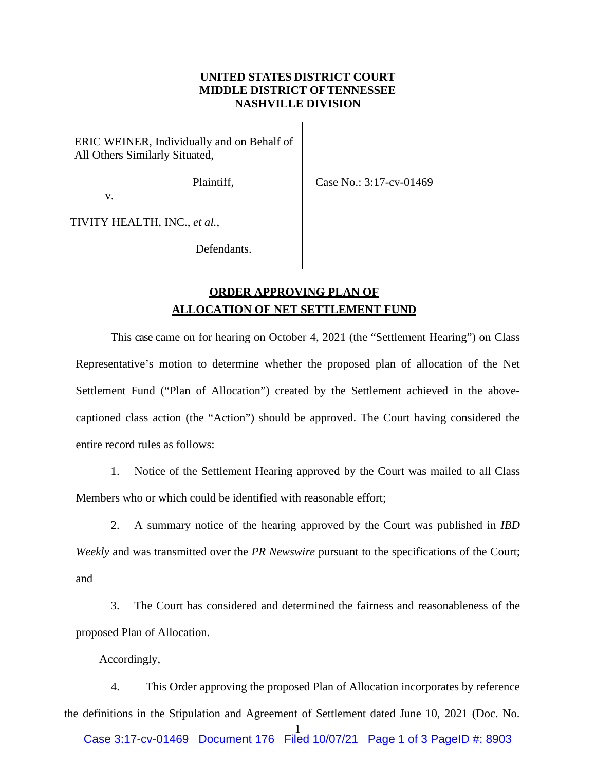## **UNITED STATES DISTRICT COURT MIDDLE DISTRICT OFTENNESSEE NASHVILLE DIVISION**

ERIC WEINER, Individually and on Behalf of All Others Similarly Situated,

Plaintiff,

Case No.: 3:17-cv-01469

v.

TIVITY HEALTH, INC., *et al.*,

Defendants.

## **ORDER APPROVING PLAN OF ALLOCATION OF NET SETTLEMENT FUND**

This case came on for hearing on October 4, 2021 (the "Settlement Hearing") on Class Representative's motion to determine whether the proposed plan of allocation of the Net Settlement Fund ("Plan of Allocation") created by the Settlement achieved in the abovecaptioned class action (the "Action") should be approved. The Court having considered the entire record rules as follows:

1. Notice of the Settlement Hearing approved by the Court was mailed to all Class Members who or which could be identified with reasonable effort;

2. A summary notice of the hearing approved by the Court was published in *IBD Weekly* and was transmitted over the *PR Newswire* pursuant to the specifications of the Court; and

3. The Court has considered and determined the fairness and reasonableness of the proposed Plan of Allocation.

Accordingly,

1 4. This Order approving the proposed Plan of Allocation incorporates by reference the definitions in the Stipulation and Agreement of Settlement dated June 10, 2021 (Doc. No. Case 3:17-cv-01469 Document 176 Filed 10/07/21 Page 1 of 3 PageID #: 8903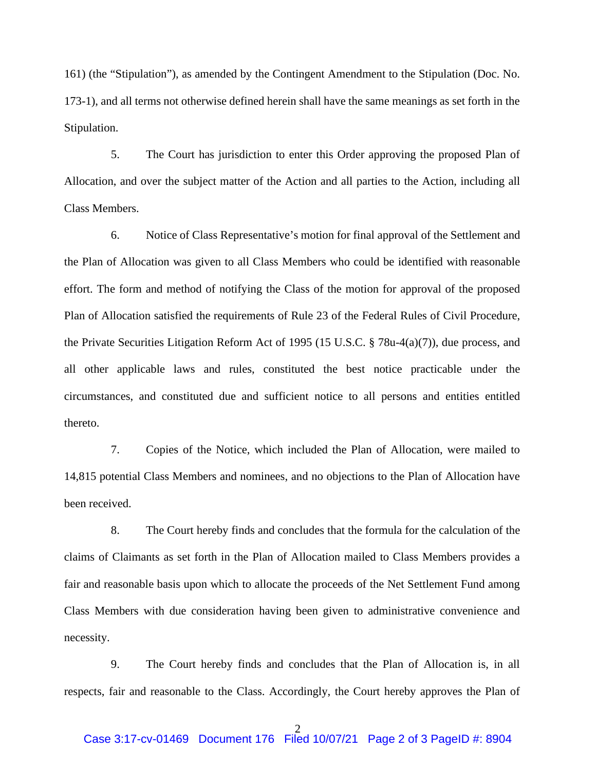161) (the "Stipulation"), as amended by the Contingent Amendment to the Stipulation (Doc. No. 173-1), and all terms not otherwise defined herein shall have the same meanings as set forth in the Stipulation.

5. The Court has jurisdiction to enter this Order approving the proposed Plan of Allocation, and over the subject matter of the Action and all parties to the Action, including all Class Members.

6. Notice of Class Representative's motion for final approval of the Settlement and the Plan of Allocation was given to all Class Members who could be identified with reasonable effort. The form and method of notifying the Class of the motion for approval of the proposed Plan of Allocation satisfied the requirements of Rule 23 of the Federal Rules of Civil Procedure, the Private Securities Litigation Reform Act of 1995 (15 U.S.C. § 78u-4(a)(7)), due process, and all other applicable laws and rules, constituted the best notice practicable under the circumstances, and constituted due and sufficient notice to all persons and entities entitled thereto.

7. Copies of the Notice, which included the Plan of Allocation, were mailed to 14,815 potential Class Members and nominees, and no objections to the Plan of Allocation have been received.

8. The Court hereby finds and concludes that the formula for the calculation of the claims of Claimants as set forth in the Plan of Allocation mailed to Class Members provides a fair and reasonable basis upon which to allocate the proceeds of the Net Settlement Fund among Class Members with due consideration having been given to administrative convenience and necessity.

9. The Court hereby finds and concludes that the Plan of Allocation is, in all respects, fair and reasonable to the Class. Accordingly, the Court hereby approves the Plan of